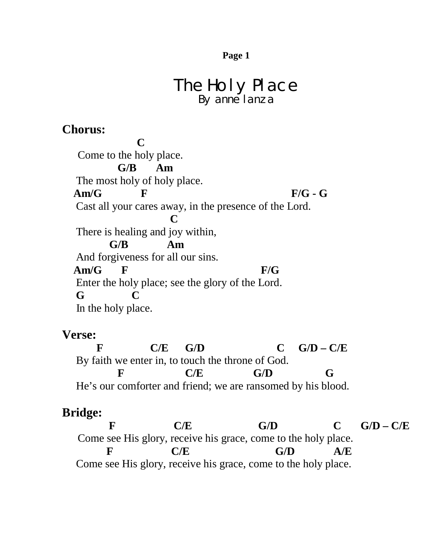## The Holy Place By anne lanza

## **Chorus:**

 **C** Come to the holy place.  **G/B Am** The most holy of holy place. Am/G F F/G - G Cast all your cares away, in the presence of the Lord. **C** There is healing and joy within, **G/B Am** And forgiveness for all our sins.  **Am/G F F/G** Enter the holy place; see the glory of the Lord.  **G C** In the holy place.

## **Verse:**

**F C/E G/D C G/D – C/E** By faith we enter in, to touch the throne of God. **F C/E G/D G** He's our comforter and friend; we are ransomed by his blood.

## **Bridge:**

F C/E G/D C G/D – C/E Come see His glory, receive his grace, come to the holy place. **F C/E G/D A/E** Come see His glory, receive his grace, come to the holy place.